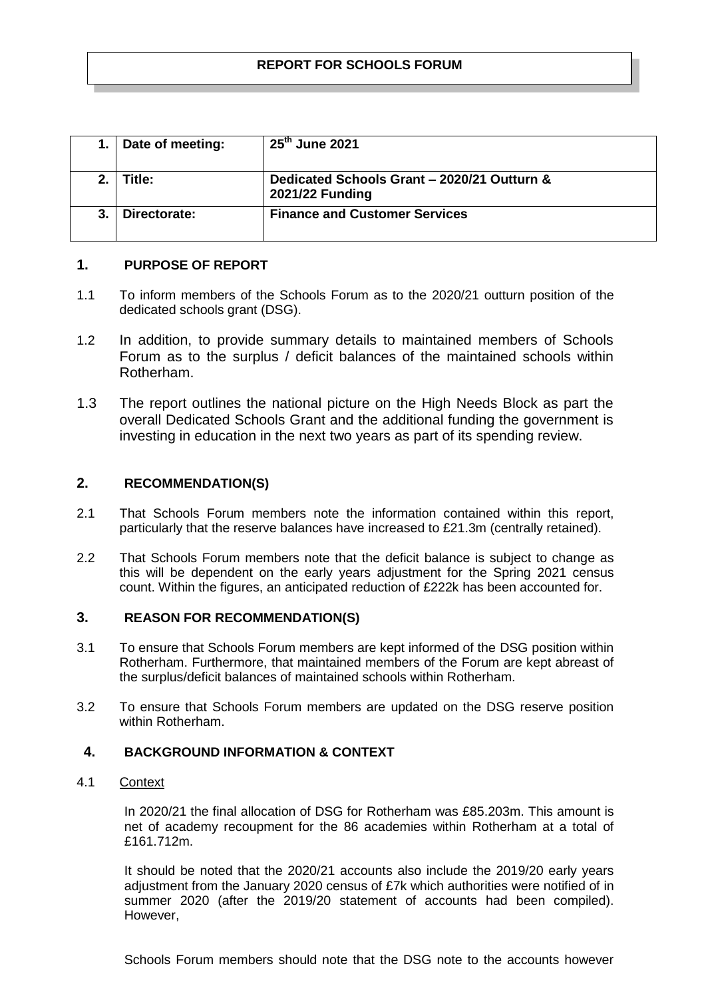|         | Date of meeting: | $25th$ June 2021                                               |
|---------|------------------|----------------------------------------------------------------|
| $2_{-}$ | Title:           | Dedicated Schools Grant - 2020/21 Outturn &<br>2021/22 Funding |
| 3.      | Directorate:     | <b>Finance and Customer Services</b>                           |

## **1. PURPOSE OF REPORT**

- 1.1 To inform members of the Schools Forum as to the 2020/21 outturn position of the dedicated schools grant (DSG).
- 1.2 In addition, to provide summary details to maintained members of Schools Forum as to the surplus / deficit balances of the maintained schools within Rotherham.
- 1.3 The report outlines the national picture on the High Needs Block as part the overall Dedicated Schools Grant and the additional funding the government is investing in education in the next two years as part of its spending review.

# **2. RECOMMENDATION(S)**

- 2.1 That Schools Forum members note the information contained within this report, particularly that the reserve balances have increased to £21.3m (centrally retained).
- 2.2 That Schools Forum members note that the deficit balance is subject to change as this will be dependent on the early years adjustment for the Spring 2021 census count. Within the figures, an anticipated reduction of £222k has been accounted for.

## **3. REASON FOR RECOMMENDATION(S)**

- 3.1 To ensure that Schools Forum members are kept informed of the DSG position within Rotherham. Furthermore, that maintained members of the Forum are kept abreast of the surplus/deficit balances of maintained schools within Rotherham.
- 3.2 To ensure that Schools Forum members are updated on the DSG reserve position within Rotherham.

## **4. BACKGROUND INFORMATION & CONTEXT**

## 4.1 Context

In 2020/21 the final allocation of DSG for Rotherham was £85.203m. This amount is net of academy recoupment for the 86 academies within Rotherham at a total of £161.712m.

It should be noted that the 2020/21 accounts also include the 2019/20 early years adjustment from the January 2020 census of £7k which authorities were notified of in summer 2020 (after the 2019/20 statement of accounts had been compiled). However,

Schools Forum members should note that the DSG note to the accounts however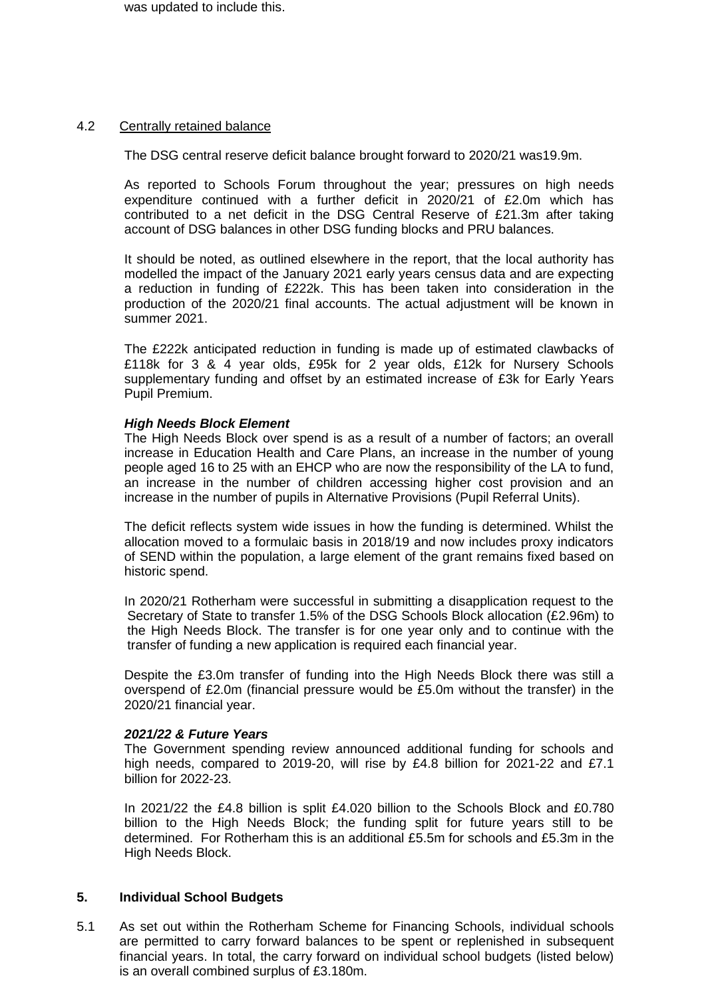was updated to include this.

#### 4.2 Centrally retained balance

The DSG central reserve deficit balance brought forward to 2020/21 was19.9m.

As reported to Schools Forum throughout the year; pressures on high needs expenditure continued with a further deficit in 2020/21 of £2.0m which has contributed to a net deficit in the DSG Central Reserve of £21.3m after taking account of DSG balances in other DSG funding blocks and PRU balances.

It should be noted, as outlined elsewhere in the report, that the local authority has modelled the impact of the January 2021 early years census data and are expecting a reduction in funding of £222k. This has been taken into consideration in the production of the 2020/21 final accounts. The actual adjustment will be known in summer 2021.

The £222k anticipated reduction in funding is made up of estimated clawbacks of £118k for 3 & 4 year olds, £95k for 2 year olds, £12k for Nursery Schools supplementary funding and offset by an estimated increase of £3k for Early Years Pupil Premium.

#### *High Needs Block Element*

The High Needs Block over spend is as a result of a number of factors; an overall increase in Education Health and Care Plans, an increase in the number of young people aged 16 to 25 with an EHCP who are now the responsibility of the LA to fund, an increase in the number of children accessing higher cost provision and an increase in the number of pupils in Alternative Provisions (Pupil Referral Units).

The deficit reflects system wide issues in how the funding is determined. Whilst the allocation moved to a formulaic basis in 2018/19 and now includes proxy indicators of SEND within the population, a large element of the grant remains fixed based on historic spend.

In 2020/21 Rotherham were successful in submitting a disapplication request to the Secretary of State to transfer 1.5% of the DSG Schools Block allocation (£2.96m) to the High Needs Block. The transfer is for one year only and to continue with the transfer of funding a new application is required each financial year.

Despite the £3.0m transfer of funding into the High Needs Block there was still a overspend of £2.0m (financial pressure would be £5.0m without the transfer) in the 2020/21 financial year.

#### *2021/22 & Future Years*

The Government spending review announced additional funding for schools and high needs, compared to 2019-20, will rise by £4.8 billion for 2021-22 and £7.1 billion for 2022-23.

In 2021/22 the £4.8 billion is split £4.020 billion to the Schools Block and £0.780 billion to the High Needs Block; the funding split for future years still to be determined. For Rotherham this is an additional £5.5m for schools and £5.3m in the High Needs Block.

#### **5. Individual School Budgets**

5.1 As set out within the Rotherham Scheme for Financing Schools, individual schools are permitted to carry forward balances to be spent or replenished in subsequent financial years. In total, the carry forward on individual school budgets (listed below) is an overall combined surplus of £3.180m.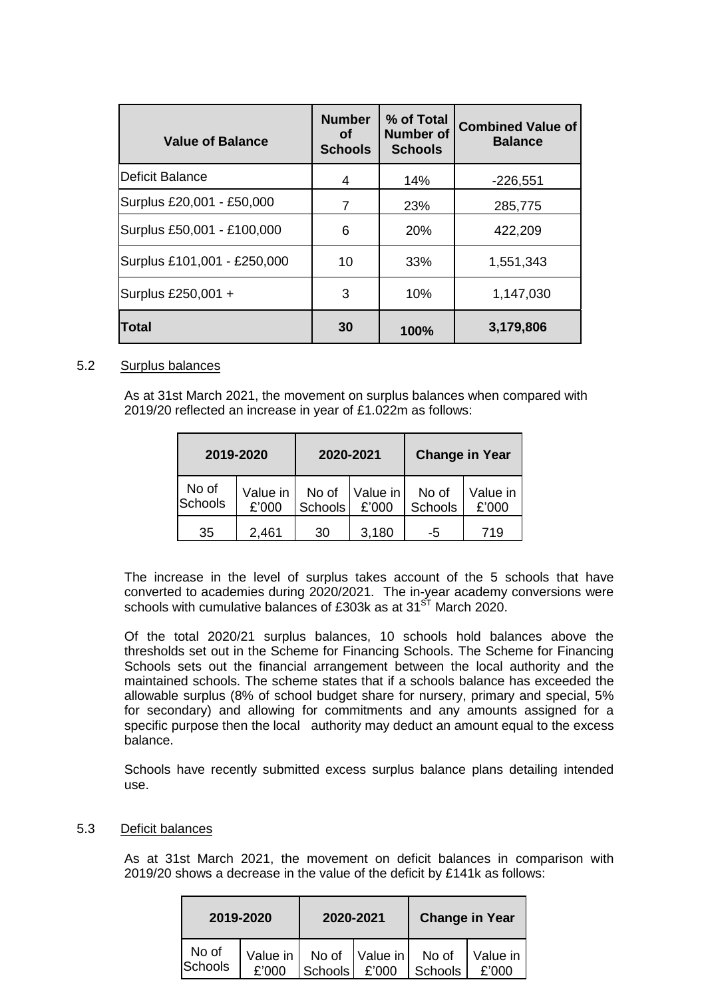| <b>Value of Balance</b>     | <b>Number</b><br>Ωf<br><b>Schools</b> | % of Total<br><b>Number of</b><br><b>Schools</b> | <b>Combined Value of</b><br><b>Balance</b> |
|-----------------------------|---------------------------------------|--------------------------------------------------|--------------------------------------------|
| Deficit Balance             | 4                                     | 14%                                              | $-226,551$                                 |
| Surplus £20,001 - £50,000   | 7                                     | 23%                                              | 285,775                                    |
| Surplus £50,001 - £100,000  | 6                                     | 20%                                              | 422,209                                    |
| Surplus £101,001 - £250,000 | 10                                    | 33%                                              | 1,551,343                                  |
| Surplus £250,001 +          | 3                                     | 10%                                              | 1,147,030                                  |
| <b>Total</b>                | 30                                    | 100%                                             | 3,179,806                                  |

### 5.2 Surplus balances

As at 31st March 2021, the movement on surplus balances when compared with 2019/20 reflected an increase in year of £1.022m as follows:

| 2019-2020        |                   | 2020-2021        |                   | <b>Change in Year</b> |                   |
|------------------|-------------------|------------------|-------------------|-----------------------|-------------------|
| No of<br>Schools | Value in<br>£'000 | No of<br>Schools | Value in<br>£'000 | No of<br>Schools      | Value in<br>£'000 |
| 35               | 2,461             | 30               | 3,180             | -5                    | 719               |

The increase in the level of surplus takes account of the 5 schools that have converted to academies during 2020/2021. The in-year academy conversions were schools with cumulative balances of £303k as at  $31<sup>ST</sup>$  March 2020.

Of the total 2020/21 surplus balances, 10 schools hold balances above the thresholds set out in the Scheme for Financing Schools. The Scheme for Financing Schools sets out the financial arrangement between the local authority and the maintained schools. The scheme states that if a schools balance has exceeded the allowable surplus (8% of school budget share for nursery, primary and special, 5% for secondary) and allowing for commitments and any amounts assigned for a specific purpose then the local authority may deduct an amount equal to the excess balance.

Schools have recently submitted excess surplus balance plans detailing intended use.

#### 5.3 Deficit balances

As at 31st March 2021, the movement on deficit balances in comparison with 2019/20 shows a decrease in the value of the deficit by £141k as follows:

|                  | 2019-2020 | 2020-2021      |                                        | <b>Change in Year</b> |                   |
|------------------|-----------|----------------|----------------------------------------|-----------------------|-------------------|
| No of<br>Schools | £'000     | <b>Schools</b> | Value in   No of   Value in  <br>£'000 | No of<br>Schools      | Value in<br>£'000 |